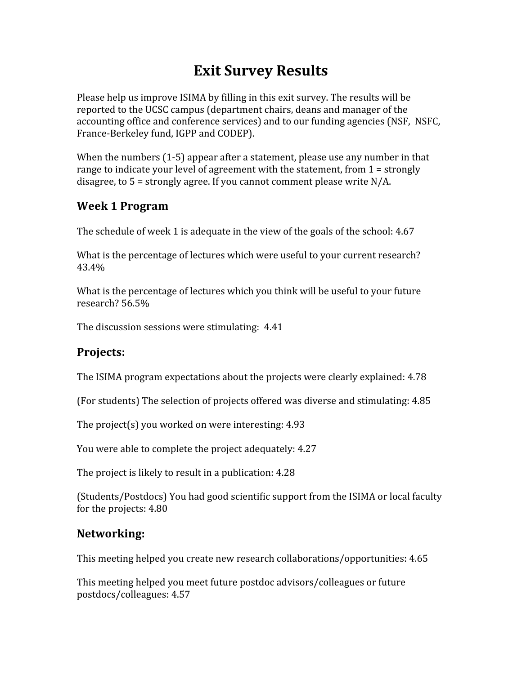# **Exit
Survey
Results**

Please help us improve ISIMA by filling in this exit survey. The results will be reported to the UCSC campus (department chairs, deans and manager of the accounting
office
and
conference
services)
and
to
our
funding
agencies
(NSF,

NSFC, France‐Berkeley
fund,
IGPP
and
CODEP).

When the numbers (1-5) appear after a statement, please use any number in that range to indicate your level of agreement with the statement, from 1 = strongly disagree,
to
5
=
strongly
agree.
If
you
cannot
comment
please
write
N/A.

## **Week
1
Program**

The
schedule
of
week
1
is
adequate
in
the
view
of
the
goals
of
the
school:
4.67

What is the percentage of lectures which were useful to your current research? 43.4%

What is the percentage of lectures which you think will be useful to your future research? 56.5%

The
discussion
sessions
were
stimulating: 4.41

#### **Projects:**

The
ISIMA
program
expectations
about
the
projects
were
clearly
explained:
4.78

(For
students)
The
selection
of
projects
offered
was
diverse
and
stimulating:
4.85

The
project(s)
you
worked
on
were
interesting:
4.93

You were able to complete the project adequately: 4.27

The
project
is
likely
to
result
in
a
publication:
4.28

(Students/Postdocs)
You
had
good
scientific
support
from
the
ISIMA or
local
faculty for
the
projects:
4.80

## **Networking:**

This
meeting
helped
you
create
new
research
collaborations/opportunities:
4.65

This
meeting
helped
you
meet
future
postdoc
advisors/colleagues
or
future postdocs/colleagues:
4.57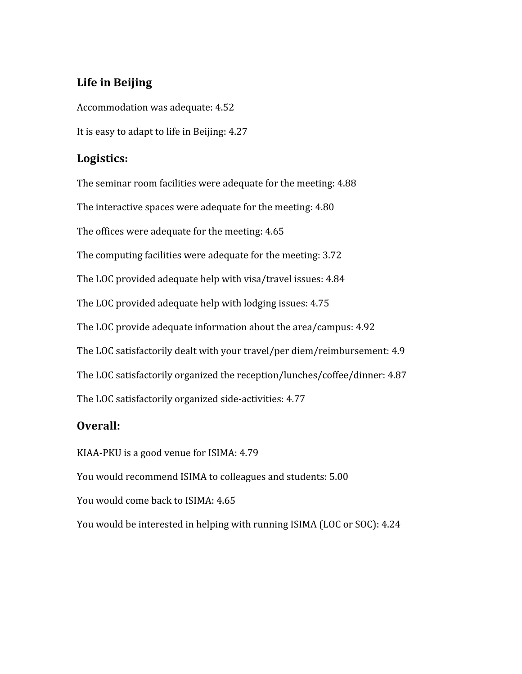## **Life
in
Beijing**

Accommodation
was
adequate:
4.52 It is easy to adapt to life in Beijing: 4.27

### **Logistics:**

The
seminar
room
facilities
were
adequate
for
the
meeting:
4.88 The
interactive spaces
were
adequate
for
the
meeting:
4.80 The
offices
were
adequate
for
the
meeting:
4.65 The
computing
facilities
were
adequate
for
the
meeting:
3.72 The
LOC
provided
adequate
help
with
visa/travel
issues:
4.84 The
LOC
provided
adequate
help
with
lodging
issues:
4.75 The
LOC
provide
adequate
information
about
the
area/campus:
4.92 The
LOC
satisfactorily
dealt
with
your
travel/per
diem/reimbursement:
4.9 The
LOC
satisfactorily
organized
the
reception/lunches/coffee/dinner:
4.87 The
LOC
satisfactorily
organized
side‐activities:
4.77

## **Overall:**

KIAA‐PKU
is
a
good
venue
for
ISIMA:
4.79 You would recommend ISIMA to colleagues and students: 5.00 You would come back to ISIMA: 4.65 You would be interested in helping with running ISIMA (LOC or SOC): 4.24